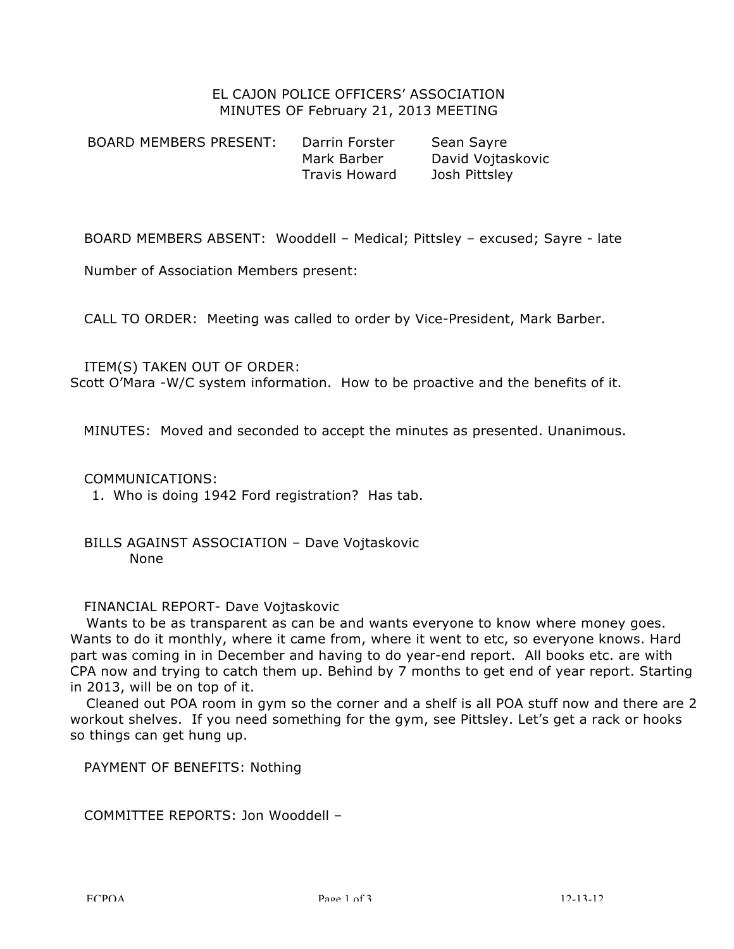# EL CAJON POLICE OFFICERS' ASSOCIATION MINUTES OF February 21, 2013 MEETING

BOARD MEMBERS PRESENT: Darrin Forster Sean Sayre Mark Barber David Vojtaskovic Travis Howard Josh Pittsley

BOARD MEMBERS ABSENT: Wooddell – Medical; Pittsley – excused; Sayre - late

Number of Association Members present:

CALL TO ORDER: Meeting was called to order by Vice-President, Mark Barber.

### ITEM(S) TAKEN OUT OF ORDER:

Scott O'Mara -W/C system information. How to be proactive and the benefits of it.

MINUTES: Moved and seconded to accept the minutes as presented. Unanimous.

### COMMUNICATIONS:

1. Who is doing 1942 Ford registration? Has tab.

# BILLS AGAINST ASSOCIATION – Dave Vojtaskovic None

### FINANCIAL REPORT- Dave Vojtaskovic

Wants to be as transparent as can be and wants everyone to know where money goes. Wants to do it monthly, where it came from, where it went to etc, so everyone knows. Hard part was coming in in December and having to do year-end report. All books etc. are with CPA now and trying to catch them up. Behind by 7 months to get end of year report. Starting in 2013, will be on top of it.

Cleaned out POA room in gym so the corner and a shelf is all POA stuff now and there are 2 workout shelves. If you need something for the gym, see Pittsley. Let's get a rack or hooks so things can get hung up.

PAYMENT OF BENEFITS: Nothing

COMMITTEE REPORTS: Jon Wooddell –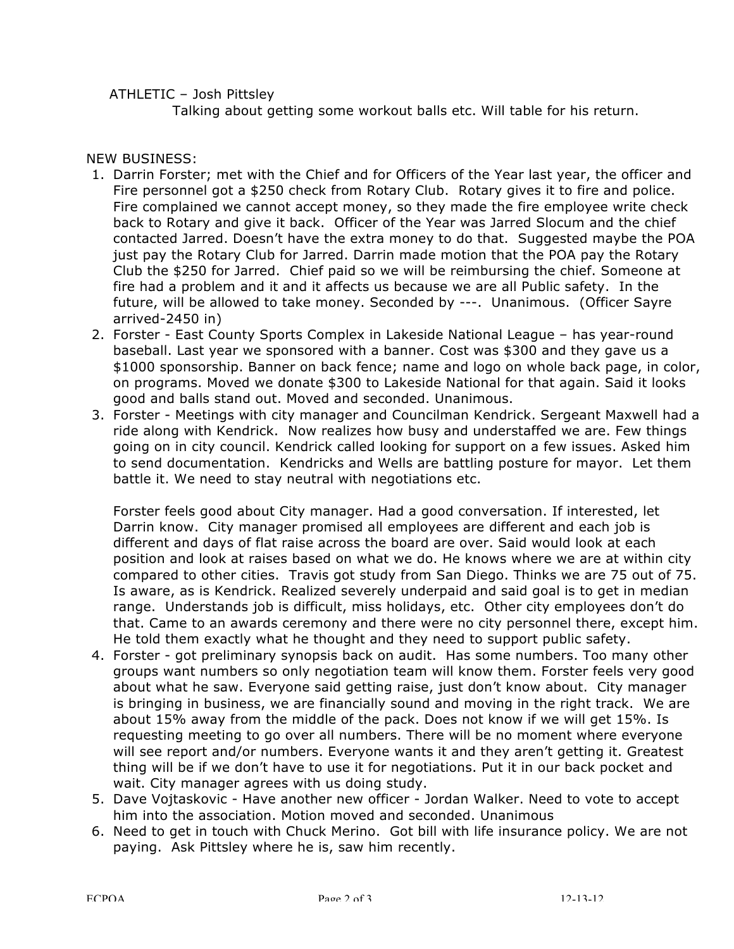ATHLETIC – Josh Pittsley

Talking about getting some workout balls etc. Will table for his return.

NEW BUSINESS:

- 1. Darrin Forster; met with the Chief and for Officers of the Year last year, the officer and Fire personnel got a \$250 check from Rotary Club. Rotary gives it to fire and police. Fire complained we cannot accept money, so they made the fire employee write check back to Rotary and give it back. Officer of the Year was Jarred Slocum and the chief contacted Jarred. Doesn't have the extra money to do that. Suggested maybe the POA just pay the Rotary Club for Jarred. Darrin made motion that the POA pay the Rotary Club the \$250 for Jarred. Chief paid so we will be reimbursing the chief. Someone at fire had a problem and it and it affects us because we are all Public safety. In the future, will be allowed to take money. Seconded by ---. Unanimous. (Officer Sayre arrived-2450 in)
- 2. Forster East County Sports Complex in Lakeside National League has year-round baseball. Last year we sponsored with a banner. Cost was \$300 and they gave us a \$1000 sponsorship. Banner on back fence; name and logo on whole back page, in color, on programs. Moved we donate \$300 to Lakeside National for that again. Said it looks good and balls stand out. Moved and seconded. Unanimous.
- 3. Forster Meetings with city manager and Councilman Kendrick. Sergeant Maxwell had a ride along with Kendrick. Now realizes how busy and understaffed we are. Few things going on in city council. Kendrick called looking for support on a few issues. Asked him to send documentation. Kendricks and Wells are battling posture for mayor. Let them battle it. We need to stay neutral with negotiations etc.

Forster feels good about City manager. Had a good conversation. If interested, let Darrin know. City manager promised all employees are different and each job is different and days of flat raise across the board are over. Said would look at each position and look at raises based on what we do. He knows where we are at within city compared to other cities. Travis got study from San Diego. Thinks we are 75 out of 75. Is aware, as is Kendrick. Realized severely underpaid and said goal is to get in median range. Understands job is difficult, miss holidays, etc. Other city employees don't do that. Came to an awards ceremony and there were no city personnel there, except him. He told them exactly what he thought and they need to support public safety.

- 4. Forster got preliminary synopsis back on audit. Has some numbers. Too many other groups want numbers so only negotiation team will know them. Forster feels very good about what he saw. Everyone said getting raise, just don't know about. City manager is bringing in business, we are financially sound and moving in the right track. We are about 15% away from the middle of the pack. Does not know if we will get 15%. Is requesting meeting to go over all numbers. There will be no moment where everyone will see report and/or numbers. Everyone wants it and they aren't getting it. Greatest thing will be if we don't have to use it for negotiations. Put it in our back pocket and wait. City manager agrees with us doing study.
- 5. Dave Vojtaskovic Have another new officer Jordan Walker. Need to vote to accept him into the association. Motion moved and seconded. Unanimous
- 6. Need to get in touch with Chuck Merino. Got bill with life insurance policy. We are not paying. Ask Pittsley where he is, saw him recently.